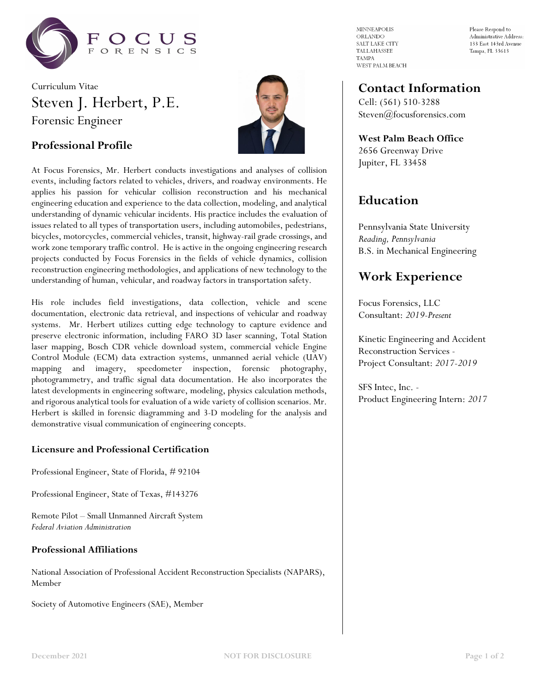

# Curriculum Vitae Steven J. Herbert, P.E. Forensic Engineer



### **Professional Profile**

At Focus Forensics, Mr. Herbert conducts investigations and analyses of collision events, including factors related to vehicles, drivers, and roadway environments. He applies his passion for vehicular collision reconstruction and his mechanical engineering education and experience to the data collection, modeling, and analytical understanding of dynamic vehicular incidents. His practice includes the evaluation of issues related to all types of transportation users, including automobiles, pedestrians, bicycles, motorcycles, commercial vehicles, transit, highway-rail grade crossings, and work zone temporary traffic control. He is active in the ongoing engineering research projects conducted by Focus Forensics in the fields of vehicle dynamics, collision reconstruction engineering methodologies, and applications of new technology to the understanding of human, vehicular, and roadway factors in transportation safety.

His role includes field investigations, data collection, vehicle and scene documentation, electronic data retrieval, and inspections of vehicular and roadway systems. Mr. Herbert utilizes cutting edge technology to capture evidence and preserve electronic information, including FARO 3D laser scanning, Total Station laser mapping, Bosch CDR vehicle download system, commercial vehicle Engine Control Module (ECM) data extraction systems, unmanned aerial vehicle (UAV) mapping and imagery, speedometer inspection, forensic photography, photogrammetry, and traffic signal data documentation. He also incorporates the latest developments in engineering software, modeling, physics calculation methods, and rigorous analytical tools for evaluation of a wide variety of collision scenarios. Mr. Herbert is skilled in forensic diagramming and 3-D modeling for the analysis and demonstrative visual communication of engineering concepts.

### **Licensure and Professional Certification**

Professional Engineer, State of Florida, # 92104

Professional Engineer, State of Texas, #143276

Remote Pilot – Small Unmanned Aircraft System *Federal Aviation Administration*

### **Professional Affiliations**

National Association of Professional Accident Reconstruction Specialists (NAPARS), Member

Society of Automotive Engineers (SAE), Member

**MINNEAPOLIS** ORLANDO SALT LAKE CITY TALLAHASSEE **TAMPA** WEST PALM BEACH

Please Respond to Administrative Address: 133 East 143rd Avenue Tampa, FL 33613

### **Contact Information**

Cell: (561) 510-3288 Steven@focusforensics.com

**West Palm Beach Office** 2656 Greenway Drive Jupiter, FL 33458

## **Education**

Pennsylvania State University *Reading, Pennsylvania* B.S. in Mechanical Engineering

## **Work Experience**

Focus Forensics, LLC Consultant: *2019-Present*

Kinetic Engineering and Accident Reconstruction Services - Project Consultant: *2017-2019*

SFS Intec, Inc. - Product Engineering Intern: *2017*